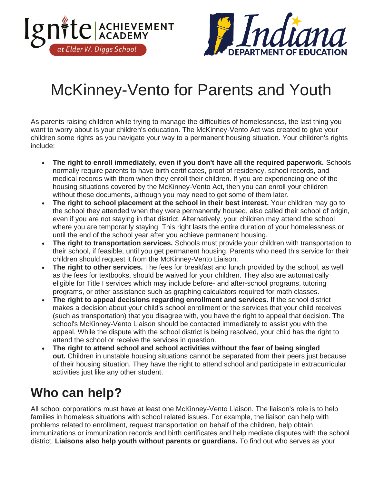



## McKinney-Vento for Parents and Youth

As parents raising children while trying to manage the difficulties of homelessness, the last thing you want to worry about is your children's education. The McKinney-Vento Act was created to give your children some rights as you navigate your way to a permanent housing situation. Your children's rights include:

- **The right to enroll immediately, even if you don't have all the required paperwork.** Schools normally require parents to have birth certificates, proof of residency, school records, and medical records with them when they enroll their children. If you are experiencing one of the housing situations covered by the McKinney-Vento Act, then you can enroll your children without these documents, although you may need to get some of them later.
- **The right to school placement at the school in their best interest.** Your children may go to the school they attended when they were permanently housed, also called their school of origin, even if you are not staying in that district. Alternatively, your children may attend the school where you are temporarily staying. This right lasts the entire duration of your homelessness or until the end of the school year after you achieve permanent housing.
- **The right to transportation services.** Schools must provide your children with transportation to their school, if feasible, until you get permanent housing. Parents who need this service for their children should request it from the McKinney-Vento Liaison.
- **The right to other services.** The fees for breakfast and lunch provided by the school, as well as the fees for textbooks, should be waived for your children. They also are automatically eligible for Title I services which may include before- and after-school programs, tutoring programs, or other assistance such as graphing calculators required for math classes.
- **The right to appeal decisions regarding enrollment and services.** If the school district makes a decision about your child's school enrollment or the services that your child receives (such as transportation) that you disagree with, you have the right to appeal that decision. The school's McKinney-Vento Liaison should be contacted immediately to assist you with the appeal. While the dispute with the school district is being resolved, your child has the right to attend the school or receive the services in question.
- **The right to attend school and school activities without the fear of being singled out.** Children in unstable housing situations cannot be separated from their peers just because of their housing situation. They have the right to attend school and participate in extracurricular activities just like any other student.

## **Who can help?**

All school corporations must have at least one McKinney-Vento Liaison. The liaison's role is to help families in homeless situations with school related issues. For example, the liaison can help with problems related to enrollment, request transportation on behalf of the children, help obtain immunizations or immunization records and birth certificates and help mediate disputes with the school district. **Liaisons also help youth without parents or guardians.** To find out who serves as your